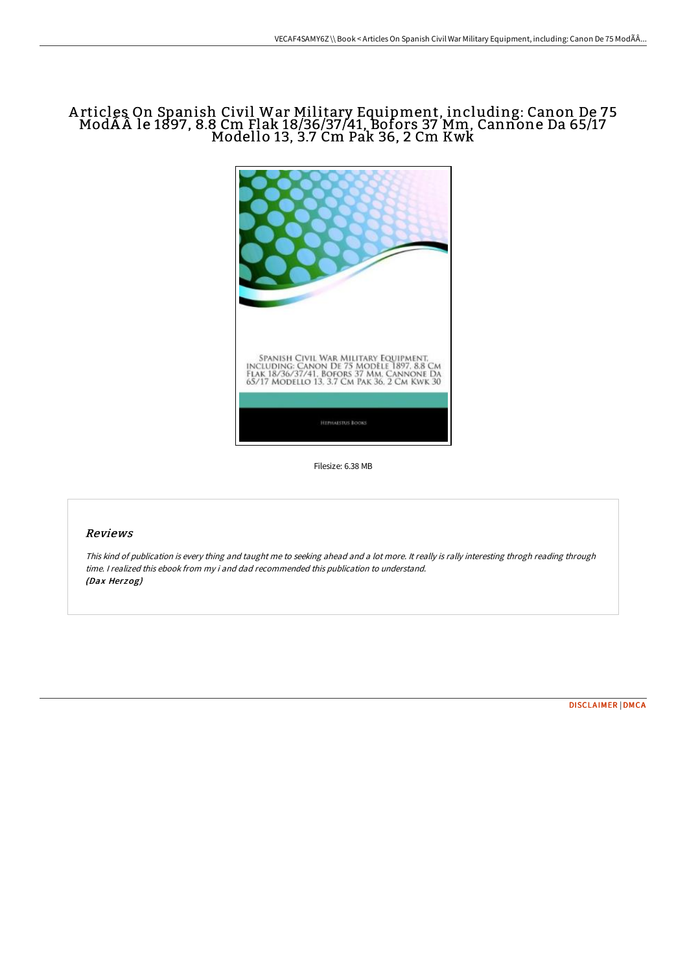## A rticles On Spanish Civil War Military Equipment, including: Canon De 75 ModÃ Â le 1897, 8.8 Cm Flak 18/36/37/41, Bofors 37 Mm, Cannone Da 65/17 Modello 13, 3.7 Cm Pak 36, 2 Cm Kwk



Filesize: 6.38 MB

## Reviews

This kind of publication is every thing and taught me to seeking ahead and <sup>a</sup> lot more. It really is rally interesting throgh reading through time. I realized this ebook from my i and dad recommended this publication to understand. (Dax Her zog)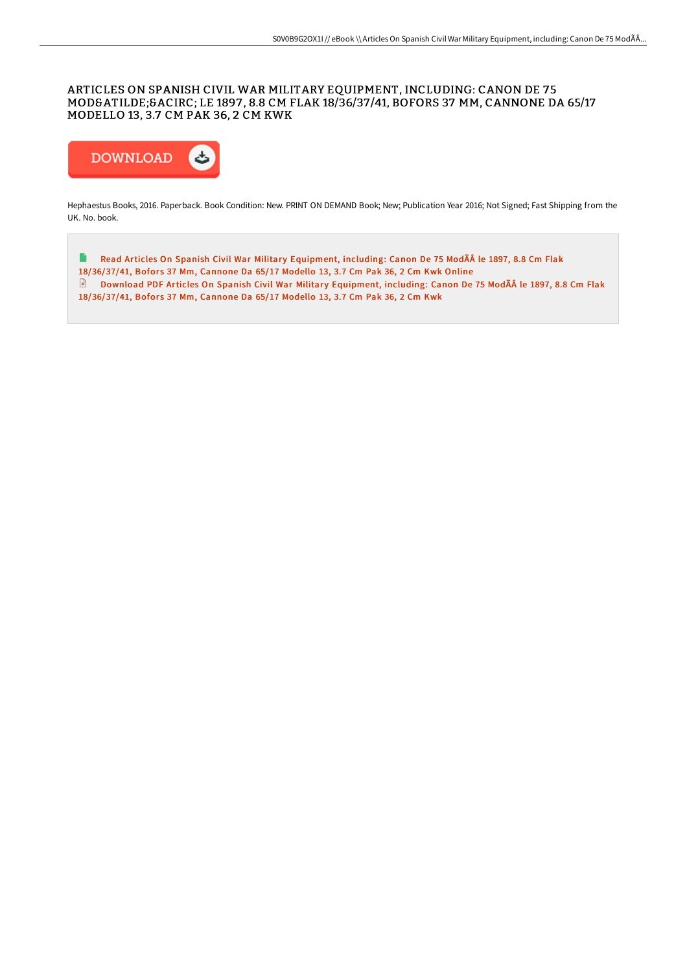## ARTICLES ON SPANISH CIVIL WAR MILITARY EQUIPMENT, INCLUDING: CANON DE 75 MODÃ & ACIRC; LE 1897, 8.8 CM FLAK 18/36/37/41, BOFORS 37 MM, CANNONE DA 65/17 MODELLO 13, 3.7 CM PAK 36, 2 CM KWK



Hephaestus Books, 2016. Paperback. Book Condition: New. PRINT ON DEMAND Book; New; Publication Year 2016; Not Signed; Fast Shipping from the UK. No. book.

 $\blacksquare$ Read Articles On Spanish Civil War Military Equipment, including: Canon De 75 ModÃÂ le 1897, 8.8 Cm Flak [18/36/37/41,](http://bookera.tech/articles-on-spanish-civil-war-military-equipment.html) Bofor s 37 Mm, Cannone Da 65/17 Modello 13, 3.7 Cm Pak 36, 2 Cm Kwk Online  $\Box$  Download PDF Articles On Spanish Civil War Military Equipment, including: Canon De 75 ModÃÂ le 1897, 8.8 Cm Flak [18/36/37/41,](http://bookera.tech/articles-on-spanish-civil-war-military-equipment.html) Bofor s 37 Mm, Cannone Da 65/17 Modello 13, 3.7 Cm Pak 36, 2 Cm Kwk